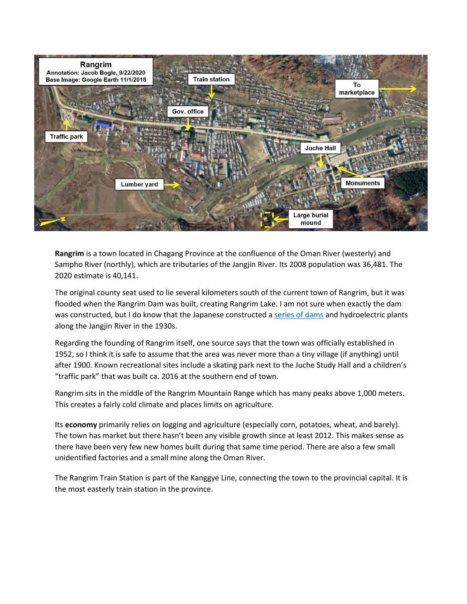

**Rangrim** is a town located in Chagang Province at the confluence of the Oman River (westerly) and Sampho River (northly), which are tributaries of the Jangjin River. Its 2008 population was 36,481. The 2020 estimate is 40,141.

The original county seat used to lie several kilometers south of the current town of Rangrim, but it was flooded when the Rangrim Dam was built, creating Rangrim Lake. I am not sure when exactly the dam was constructed, but I do know that the Japanese constructed a [series of dams](http://encykorea.aks.ac.kr/Contents/Item/E0048814) and hydroelectric plants along the Jangjin River in the 1930s.

Regarding the founding of Rangrim itself, one source says that the town was officially established in 1952, so I think it is safe to assume that the area was never more than a tiny village (if anything) until after 1900. Known recreational sites include a skating park next to the Juche Study Hall and a children's "traffic park" that was built ca. 2016 at the southern end of town.

Rangrim sits in the middle of the Rangrim Mountain Range which has many peaks above 1,000 meters. This creates a fairly cold climate and places limits on agriculture.

Its **economy** primarily relies on logging and agriculture (especially corn, potatoes, wheat, and barely). The town has market but there hasn't been any visible growth since at least 2012. This makes sense as there have been very few new homes built during that same time period. There are also a few small unidentified factories and a small mine along the Oman River.

The Rangrim Train Station is part of the Kanggye Line, connecting the town to the provincial capital. It is the most easterly train station in the province.